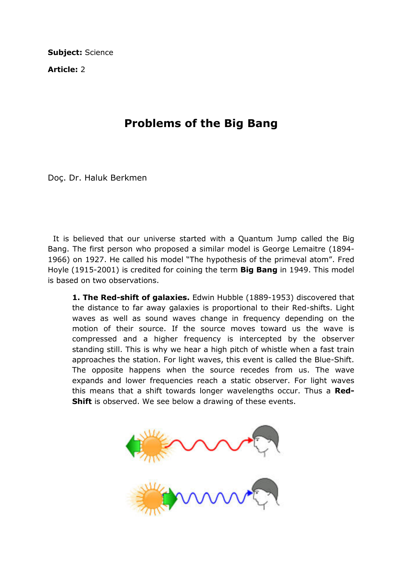Subject: Science

Article: 2

## Problems of the Big Bang

Doç. Dr. Haluk Berkmen

 It is believed that our universe started with a Quantum Jump called the Big Bang. The first person who proposed a similar model is George Lemaitre (1894- 1966) on 1927. He called his model "The hypothesis of the primeval atom". Fred Hoyle (1915-2001) is credited for coining the term **Big Bang** in 1949. This model is based on two observations.

1. The Red-shift of galaxies. Edwin Hubble (1889-1953) discovered that the distance to far away galaxies is proportional to their Red-shifts. Light waves as well as sound waves change in frequency depending on the motion of their source. If the source moves toward us the wave is compressed and a higher frequency is intercepted by the observer standing still. This is why we hear a high pitch of whistle when a fast train approaches the station. For light waves, this event is called the Blue-Shift. The opposite happens when the source recedes from us. The wave expands and lower frequencies reach a static observer. For light waves this means that a shift towards longer wavelengths occur. Thus a Red-**Shift** is observed. We see below a drawing of these events.

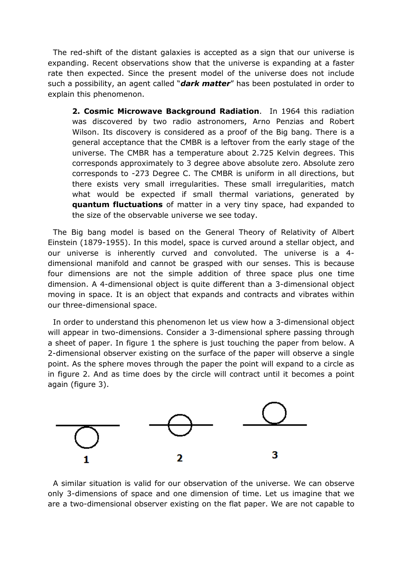The red-shift of the distant galaxies is accepted as a sign that our universe is expanding. Recent observations show that the universe is expanding at a faster rate then expected. Since the present model of the universe does not include such a possibility, an agent called "**dark matter**" has been postulated in order to explain this phenomenon.

2. Cosmic Microwave Background Radiation. In 1964 this radiation was discovered by two radio astronomers, Arno Penzias and Robert Wilson. Its discovery is considered as a proof of the Big bang. There is a general acceptance that the CMBR is a leftover from the early stage of the universe. The CMBR has a temperature about 2.725 Kelvin degrees. This corresponds approximately to 3 degree above absolute zero. Absolute zero corresponds to -273 Degree C. The CMBR is uniform in all directions, but there exists very small irregularities. These small irregularities, match what would be expected if small thermal variations, generated by quantum fluctuations of matter in a very tiny space, had expanded to the size of the observable universe we see today.

 The Big bang model is based on the General Theory of Relativity of Albert Einstein (1879-1955). In this model, space is curved around a stellar object, and our universe is inherently curved and convoluted. The universe is a 4 dimensional manifold and cannot be grasped with our senses. This is because four dimensions are not the simple addition of three space plus one time dimension. A 4-dimensional object is quite different than a 3-dimensional object moving in space. It is an object that expands and contracts and vibrates within our three-dimensional space.

 In order to understand this phenomenon let us view how a 3-dimensional object will appear in two-dimensions. Consider a 3-dimensional sphere passing through a sheet of paper. In figure 1 the sphere is just touching the paper from below. A 2-dimensional observer existing on the surface of the paper will observe a single point. As the sphere moves through the paper the point will expand to a circle as in figure 2. And as time does by the circle will contract until it becomes a point again (figure 3).



 A similar situation is valid for our observation of the universe. We can observe only 3-dimensions of space and one dimension of time. Let us imagine that we are a two-dimensional observer existing on the flat paper. We are not capable to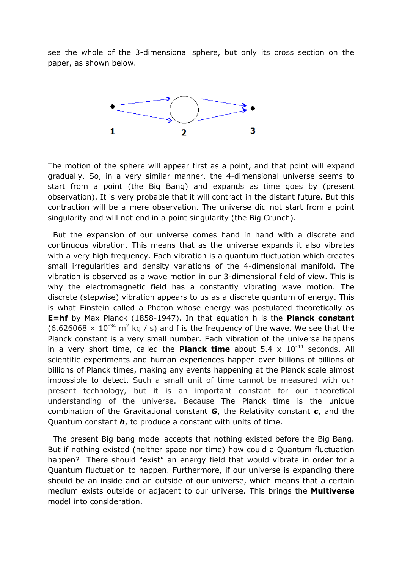see the whole of the 3-dimensional sphere, but only its cross section on the paper, as shown below.



The motion of the sphere will appear first as a point, and that point will expand gradually. So, in a very similar manner, the 4-dimensional universe seems to start from a point (the Big Bang) and expands as time goes by (present observation). It is very probable that it will contract in the distant future. But this contraction will be a mere observation. The universe did not start from a point singularity and will not end in a point singularity (the Big Crunch).

 But the expansion of our universe comes hand in hand with a discrete and continuous vibration. This means that as the universe expands it also vibrates with a very high frequency. Each vibration is a quantum fluctuation which creates small irregularities and density variations of the 4-dimensional manifold. The vibration is observed as a wave motion in our 3-dimensional field of view. This is why the electromagnetic field has a constantly vibrating wave motion. The discrete (stepwise) vibration appears to us as a discrete quantum of energy. This is what Einstein called a Photon whose energy was postulated theoretically as **E=hf** by Max Planck (1858-1947). In that equation h is the **Planck constant**  $(6.626068 \times 10^{-34} \text{ m}^2 \text{ kg } / \text{s})$  and f is the frequency of the wave. We see that the Planck constant is a very small number. Each vibration of the universe happens in a very short time, called the **Planck time** about  $5.4 \times 10^{-44}$  seconds. All scientific experiments and human experiences happen over billions of billions of billions of Planck times, making any events happening at the Planck scale almost impossible to detect. Such a small unit of time cannot be measured with our present technology, but it is an important constant for our theoretical understanding of the universe. Because The Planck time is the unique combination of the Gravitational constant  $G$ , the Relativity constant  $c$ , and the Quantum constant  $h$ , to produce a constant with units of time.

 The present Big bang model accepts that nothing existed before the Big Bang. But if nothing existed (neither space nor time) how could a Quantum fluctuation happen? There should "exist" an energy field that would vibrate in order for a Quantum fluctuation to happen. Furthermore, if our universe is expanding there should be an inside and an outside of our universe, which means that a certain medium exists outside or adjacent to our universe. This brings the **Multiverse** model into consideration.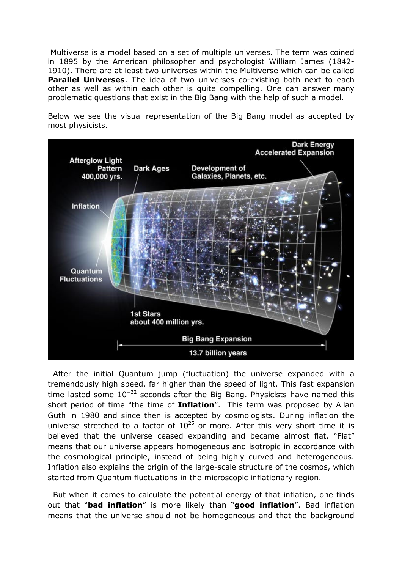Multiverse is a model based on a set of multiple universes. The term was coined in 1895 by the American philosopher and psychologist William James (1842- 1910). There are at least two universes within the Multiverse which can be called **Parallel Universes.** The idea of two universes co-existing both next to each other as well as within each other is quite compelling. One can answer many problematic questions that exist in the Big Bang with the help of such a model.

Below we see the visual representation of the Big Bang model as accepted by most physicists.



 After the initial Quantum jump (fluctuation) the universe expanded with a tremendously high speed, far higher than the speed of light. This fast expansion time lasted some  $10^{-32}$  seconds after the Big Bang. Physicists have named this short period of time "the time of **Inflation**". This term was proposed by Allan Guth in 1980 and since then is accepted by cosmologists. During inflation the universe stretched to a factor of  $10^{25}$  or more. After this very short time it is believed that the universe ceased expanding and became almost flat. "Flat" means that our universe appears homogeneous and isotropic in accordance with the cosmological principle, instead of being highly curved and heterogeneous. Inflation also explains the origin of the large-scale structure of the cosmos, which started from Quantum fluctuations in the microscopic inflationary region.

 But when it comes to calculate the potential energy of that inflation, one finds out that "bad inflation" is more likely than "good inflation". Bad inflation means that the universe should not be homogeneous and that the background